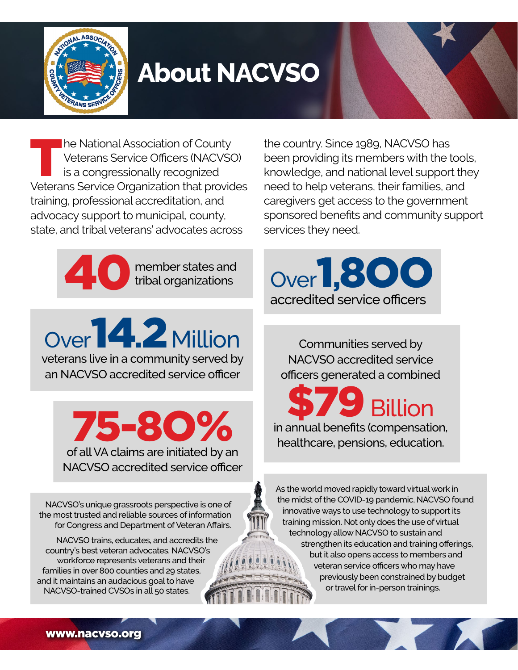

## **About NACVSO**

**The National Association of County** Veterans Service Officers (NACVSO) is a congressionally recognized Veterans Service Organization that provides training, professional accreditation, and advocacy support to municipal, county, state, and tribal veterans' advocates across

need to help veterans, their families, and caregivers get access to the government sponsored benefits and community support services they need.

the country. Since 1989, NACVSO has

been providing its members with the tools, knowledge, and national level support they



tribal organizations

Over **14.2** Million veterans live in a community served by

an NACVSO accredited service officer

of all VA claims are initiated by an 75-8O% NACVSO accredited service officer

NACVSO's unique grassroots perspective is one of the most trusted and reliable sources of information for Congress and Department of Veteran Affairs.

NACVSO trains, educates, and accredits the country's best veteran advocates. NACVSO's workforce represents veterans and their families in over 800 counties and 29 states, and it maintains an audacious goal to have NACVSO-trained CVSOs in all 50 states.

Over 1,8OO accredited service officers

Communities served by NACVSO accredited service officers generated a combined

**Billion** in annual benefits (compensation, healthcare, pensions, education.

As the world moved rapidly toward virtual work in the midst of the COVID-19 pandemic, NACVSO found innovative ways to use technology to support its training mission. Not only does the use of virtual technology allow NACVSO to sustain and strengthen its education and training offerings, but it also opens access to members and veteran service officers who may have previously been constrained by budget or travel for in-person trainings.

[www.nacvso.org](http://www.nacvso.org)